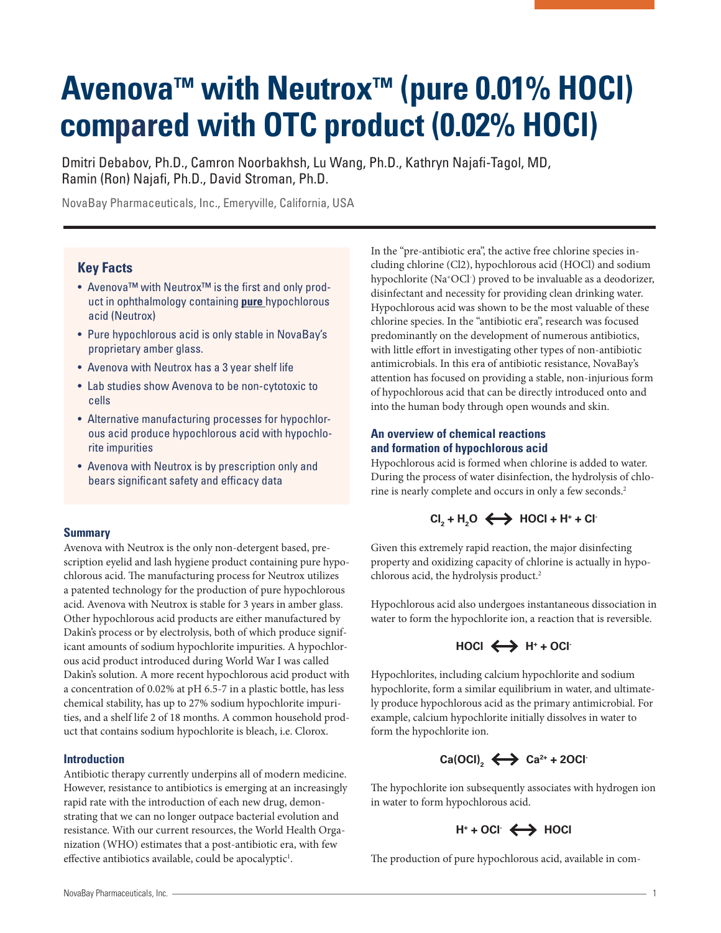# **Avenova™ with Neutrox™ (pure 0.01% HOCl) compared with OTC product (0.02% HOCl)**

Dmitri Debabov, Ph.D., Camron Noorbakhsh, Lu Wang, Ph.D., Kathryn Najafi-Tagol, MD, Ramin (Ron) Najafi, Ph.D., David Stroman, Ph.D.

NovaBay Pharmaceuticals, Inc., Emeryville, California, USA

# **Key Facts**

- Avenova™ with Neutrox™ is the first and only product in ophthalmology containing **pure** hypochlorous acid (Neutrox)
- Pure hypochlorous acid is only stable in NovaBay's proprietary amber glass.
- Avenova with Neutrox has a 3 year shelf life
- Lab studies show Avenova to be non-cytotoxic to cells
- Alternative manufacturing processes for hypochlorous acid produce hypochlorous acid with hypochlorite impurities
- Avenova with Neutrox is by prescription only and bears significant safety and efficacy data

## **Summary**

Avenova with Neutrox is the only non-detergent based, prescription eyelid and lash hygiene product containing pure hypochlorous acid. The manufacturing process for Neutrox utilizes a patented technology for the production of pure hypochlorous acid. Avenova with Neutrox is stable for 3 years in amber glass. Other hypochlorous acid products are either manufactured by Dakin's process or by electrolysis, both of which produce significant amounts of sodium hypochlorite impurities. A hypochlorous acid product introduced during World War I was called Dakin's solution. A more recent hypochlorous acid product with a concentration of 0.02% at pH 6.5-7 in a plastic bottle, has less chemical stability, has up to 27% sodium hypochlorite impurities, and a shelf life 2 of 18 months. A common household product that contains sodium hypochlorite is bleach, i.e. Clorox.

# **Introduction**

Antibiotic therapy currently underpins all of modern medicine. However, resistance to antibiotics is emerging at an increasingly rapid rate with the introduction of each new drug, demonstrating that we can no longer outpace bacterial evolution and resistance. With our current resources, the World Health Organization (WHO) estimates that a post-antibiotic era, with few effective antibiotics available, could be apocalyptic<sup>1</sup>.

In the "pre-antibiotic era", the active free chlorine species including chlorine (Cl2), hypochlorous acid (HOCl) and sodium hypochlorite (Na+OCl- ) proved to be invaluable as a deodorizer, disinfectant and necessity for providing clean drinking water. Hypochlorous acid was shown to be the most valuable of these chlorine species. In the "antibiotic era", research was focused predominantly on the development of numerous antibiotics, with little effort in investigating other types of non-antibiotic antimicrobials. In this era of antibiotic resistance, NovaBay's attention has focused on providing a stable, non-injurious form of hypochlorous acid that can be directly introduced onto and into the human body through open wounds and skin.

# **An overview of chemical reactions and formation of hypochlorous acid**

Hypochlorous acid is formed when chlorine is added to water. During the process of water disinfection, the hydrolysis of chlorine is nearly complete and occurs in only a few seconds.2

# $CI<sub>2</sub> + H<sub>2</sub>O \leftrightarrow HOCl + H<sup>+</sup> + Cl<sup>-</sup>$

Given this extremely rapid reaction, the major disinfecting property and oxidizing capacity of chlorine is actually in hypochlorous acid, the hydrolysis product.2

Hypochlorous acid also undergoes instantaneous dissociation in water to form the hypochlorite ion, a reaction that is reversible.



Hypochlorites, including calcium hypochlorite and sodium hypochlorite, form a similar equilibrium in water, and ultimately produce hypochlorous acid as the primary antimicrobial. For example, calcium hypochlorite initially dissolves in water to form the hypochlorite ion.

# $\text{Ca(OCl)}_{2} \leftrightarrow \text{Ca}^{2+}$  + 2OCl<sup>-</sup>

The hypochlorite ion subsequently associates with hydrogen ion in water to form hypochlorous acid.

# H<sup>+</sup> + OCl<sup>-</sup>  $\leftrightarrow$  HOCl

The production of pure hypochlorous acid, available in com-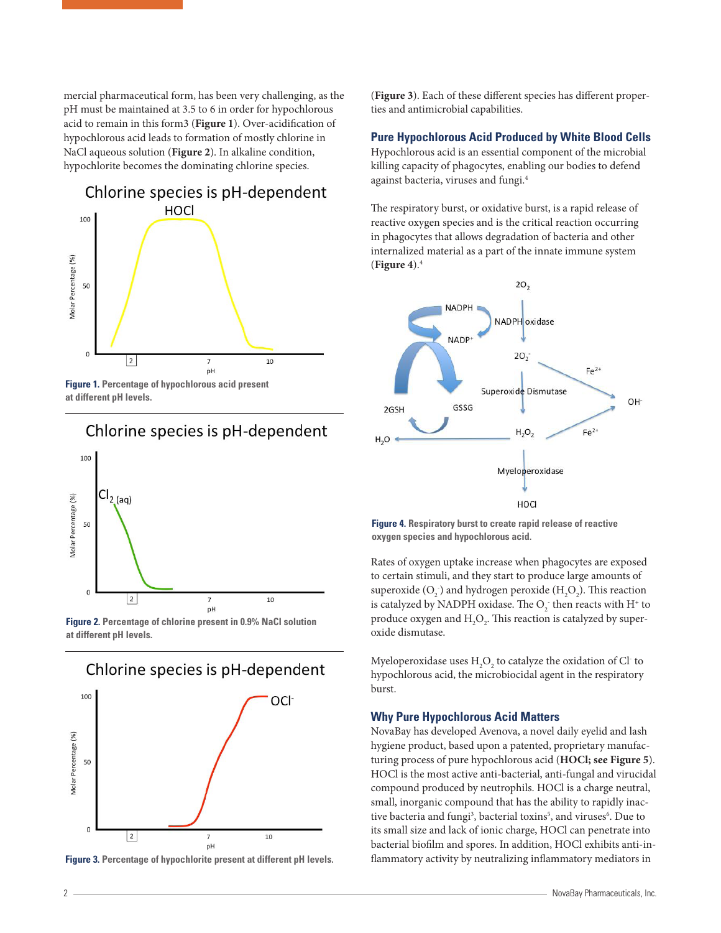mercial pharmaceutical form, has been very challenging, as the pH must be maintained at 3.5 to 6 in order for hypochlorous acid to remain in this form3 (**Figure 1**). Over-acidification of hypochlorous acid leads to formation of mostly chlorine in NaCl aqueous solution (**Figure 2**). In alkaline condition, hypochlorite becomes the dominating chlorine species.



**Figure 1. Percentage of hypochlorous acid present at different pH levels.**

# Chlorine species is pH-dependent



**Figure 2. Percentage of chlorine present in 0.9% NaCl solution at different pH levels.**



**Figure 3. Percentage of hypochlorite present at different pH levels.**

(**Figure 3**). Each of these different species has different properties and antimicrobial capabilities.

#### **Pure Hypochlorous Acid Produced by White Blood Cells**

Hypochlorous acid is an essential component of the microbial killing capacity of phagocytes, enabling our bodies to defend against bacteria, viruses and fungi.4

The respiratory burst, or oxidative burst, is a rapid release of reactive oxygen species and is the critical reaction occurring in phagocytes that allows degradation of bacteria and other internalized material as a part of the innate immune system (**Figure 4**).4



**Figure 4. Respiratory burst to create rapid release of reactive oxygen species and hypochlorous acid.**

Rates of oxygen uptake increase when phagocytes are exposed to certain stimuli, and they start to produce large amounts of superoxide  $(O_2^-)$  and hydrogen peroxide  $(H_2O_2)$ . This reaction is catalyzed by NADPH oxidase. The  $\mathrm{O}_2^-$  then reacts with  $\mathrm{H}^+$  to produce oxygen and  $\rm{H}_{2}\rm{O}_{2}$ . This reaction is catalyzed by superoxide dismutase.

Myeloperoxidase uses  $\rm{H}_{2}\rm{O}_{2}$  to catalyze the oxidation of Cl $^{\circ}$  to hypochlorous acid, the microbiocidal agent in the respiratory burst.

#### **Why Pure Hypochlorous Acid Matters**

NovaBay has developed Avenova, a novel daily eyelid and lash hygiene product, based upon a patented, proprietary manufacturing process of pure hypochlorous acid (**HOCl; see Figure 5**). HOCl is the most active anti-bacterial, anti-fungal and virucidal compound produced by neutrophils. HOCl is a charge neutral, small, inorganic compound that has the ability to rapidly inactive bacteria and fungi<sup>3</sup>, bacterial toxins<sup>5</sup>, and viruses<sup>6</sup>. Due to its small size and lack of ionic charge, HOCl can penetrate into bacterial biofilm and spores. In addition, HOCl exhibits anti-inflammatory activity by neutralizing inflammatory mediators in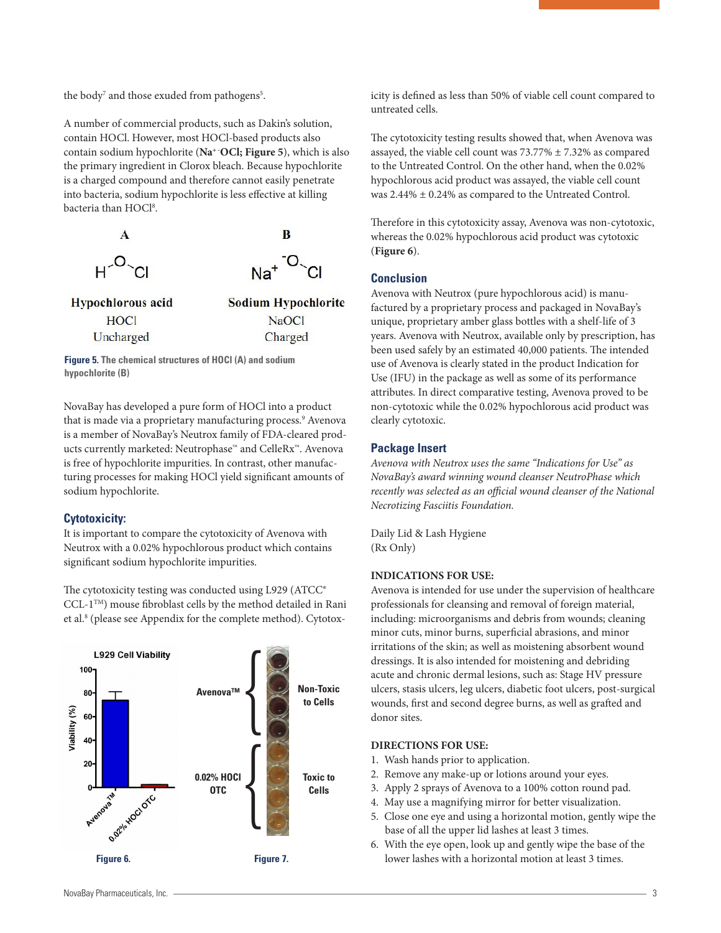the body<sup>7</sup> and those exuded from pathogens<sup>5</sup>.

A number of commercial products, such as Dakin's solution, contain HOCl. However, most HOCl-based products also contain sodium hypochlorite (Na<sup>+</sup> OCl; Figure 5), which is also the primary ingredient in Clorox bleach. Because hypochlorite is a charged compound and therefore cannot easily penetrate into bacteria, sodium hypochlorite is less effective at killing bacteria than HOCl<sup>8</sup>.



**Figure 5. The chemical structures of HOCl (A) and sodium hypochlorite (B)**

NovaBay has developed a pure form of HOCl into a product that is made via a proprietary manufacturing process.<sup>9</sup> Avenova is a member of NovaBay's Neutrox family of FDA-cleared products currently marketed: Neutrophase™ and CelleRx™. Avenova is free of hypochlorite impurities. In contrast, other manufacturing processes for making HOCl yield significant amounts of sodium hypochlorite.

#### **Cytotoxicity:**

It is important to compare the cytotoxicity of Avenova with Neutrox with a 0.02% hypochlorous product which contains significant sodium hypochlorite impurities.

The cytotoxicity testing was conducted using L929 (ATCC® CCL-1TM) mouse fibroblast cells by the method detailed in Rani et al.<sup>8</sup> (please see Appendix for the complete method). Cytotox-



icity is defined as less than 50% of viable cell count compared to untreated cells.

The cytotoxicity testing results showed that, when Avenova was assayed, the viable cell count was 73.77% ± 7.32% as compared to the Untreated Control. On the other hand, when the 0.02% hypochlorous acid product was assayed, the viable cell count was 2.44% ± 0.24% as compared to the Untreated Control.

Therefore in this cytotoxicity assay, Avenova was non-cytotoxic, whereas the 0.02% hypochlorous acid product was cytotoxic (**Figure 6**).

## **Conclusion**

Avenova with Neutrox (pure hypochlorous acid) is manufactured by a proprietary process and packaged in NovaBay's unique, proprietary amber glass bottles with a shelf-life of 3 years. Avenova with Neutrox, available only by prescription, has been used safely by an estimated 40,000 patients. The intended use of Avenova is clearly stated in the product Indication for Use (IFU) in the package as well as some of its performance attributes. In direct comparative testing, Avenova proved to be non-cytotoxic while the 0.02% hypochlorous acid product was clearly cytotoxic.

#### **Package Insert**

*Avenova with Neutrox uses the same "Indications for Use" as NovaBay's award winning wound cleanser NeutroPhase which recently was selected as an official wound cleanser of the National Necrotizing Fasciitis Foundation.*

Daily Lid & Lash Hygiene (Rx Only)

#### **INDICATIONS FOR USE:**

Avenova is intended for use under the supervision of healthcare professionals for cleansing and removal of foreign material, including: microorganisms and debris from wounds; cleaning minor cuts, minor burns, superficial abrasions, and minor irritations of the skin; as well as moistening absorbent wound dressings. It is also intended for moistening and debriding acute and chronic dermal lesions, such as: Stage HV pressure ulcers, stasis ulcers, leg ulcers, diabetic foot ulcers, post-surgical wounds, first and second degree burns, as well as grafted and donor sites.

## **DIRECTIONS FOR USE:**

- 1. Wash hands prior to application.
- 2. Remove any make-up or lotions around your eyes.
- 3. Apply 2 sprays of Avenova to a 100% cotton round pad.
- 4. May use a magnifying mirror for better visualization.
- 5. Close one eye and using a horizontal motion, gently wipe the base of all the upper lid lashes at least 3 times.
- 6. With the eye open, look up and gently wipe the base of the lower lashes with a horizontal motion at least 3 times.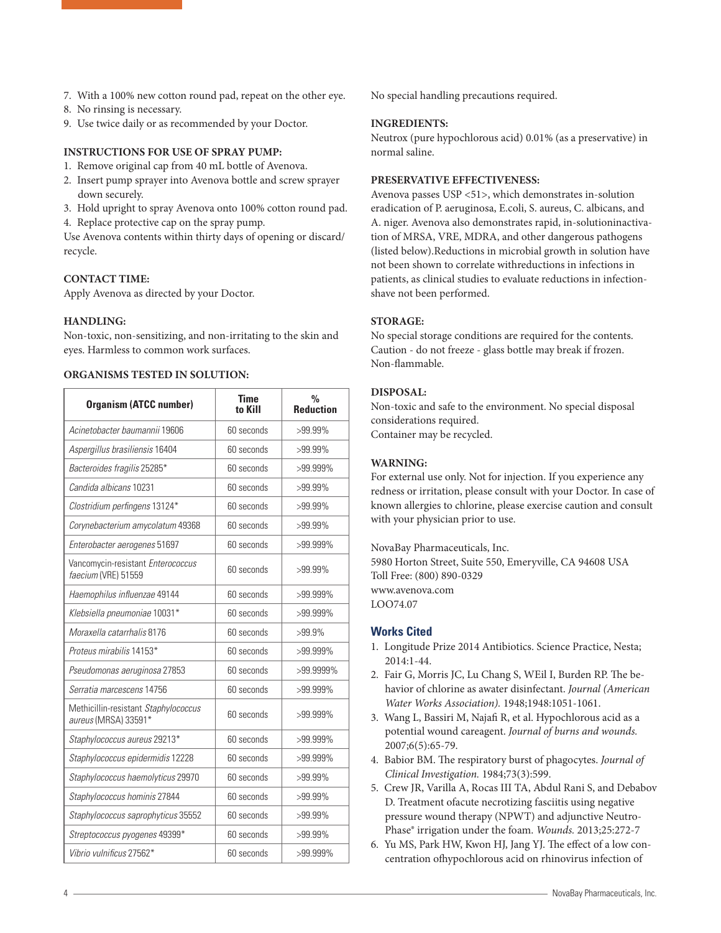- 7. With a 100% new cotton round pad, repeat on the other eye.
- 8. No rinsing is necessary.
- 9. Use twice daily or as recommended by your Doctor.

#### **INSTRUCTIONS FOR USE OF SPRAY PUMP:**

- 1. Remove original cap from 40 mL bottle of Avenova.
- 2. Insert pump sprayer into Avenova bottle and screw sprayer down securely.
- 3. Hold upright to spray Avenova onto 100% cotton round pad.
- 4. Replace protective cap on the spray pump.

Use Avenova contents within thirty days of opening or discard/ recycle.

#### **CONTACT TIME:**

Apply Avenova as directed by your Doctor.

#### **HANDLING:**

Non-toxic, non-sensitizing, and non-irritating to the skin and eyes. Harmless to common work surfaces.

## **ORGANISMS TESTED IN SOLUTION:**

| <b>Organism (ATCC number)</b>                                | <b>Time</b><br>to Kill | $\frac{0}{0}$<br><b>Reduction</b> |
|--------------------------------------------------------------|------------------------|-----------------------------------|
| Acinetobacter baumannii 19606                                | 60 seconds             | $>99.99\%$                        |
| Aspergillus brasiliensis 16404                               | 60 seconds             | $>99.99\%$                        |
| Bacteroides fragilis 25285*                                  | 60 seconds             | >99.999%                          |
| Candida albicans 10231                                       | 60 seconds             | >99.99%                           |
| Clostridium perfingens 13124*                                | 60 seconds             | $>99.99\%$                        |
| Corynebacterium amycolatum 49368                             | 60 seconds             | $>99.99\%$                        |
| Enterobacter aerogenes 51697                                 | 60 seconds             | >99.999%                          |
| Vancomycin-resistant Enterococcus<br>faecium (VRE) 51559     | 60 seconds             | $>99.99\%$                        |
| Haemophilus influenzae 49144                                 | 60 seconds             | $>99.999\%$                       |
| Klebsiella pneumoniae 10031*                                 | 60 seconds             | $>99.999\%$                       |
| Moraxella catarrhalis 8176                                   | 60 seconds             | $>99.9\%$                         |
| Proteus mirabilis 14153*                                     | 60 seconds             | $>99.999\%$                       |
| Pseudomonas aeruginosa 27853                                 | 60 seconds             | >99.9999%                         |
| Serratia marcescens 14756                                    | 60 seconds             | >99.999%                          |
| Methicillin-resistant Staphylococcus<br>aureus (MRSA) 33591* | 60 seconds             | $>99.999\%$                       |
| Staphylococcus aureus 29213*                                 | 60 seconds             | $>99.999\%$                       |
| Staphylococcus epidermidis 12228                             | 60 seconds             | $>99.999\%$                       |
| Staphylococcus haemolyticus 29970                            | 60 seconds             | >99.99%                           |
| Staphylococcus hominis 27844                                 | 60 seconds             | >99.99%                           |
| Staphylococcus saprophyticus 35552                           | 60 seconds             | >99.99%                           |
| Streptococcus pyogenes 49399*                                | 60 seconds             | >99.99%                           |
| Vibrio vulnificus 27562*                                     | 60 seconds             | >99.999%                          |

No special handling precautions required.

#### **INGREDIENTS:**

Neutrox (pure hypochlorous acid) 0.01% (as a preservative) in normal saline.

#### **PRESERVATIVE EFFECTIVENESS:**

Avenova passes USP <51>, which demonstrates in-solution eradication of P. aeruginosa, E.coli, S. aureus, C. albicans, and A. niger. Avenova also demonstrates rapid, in-solutioninactivation of MRSA, VRE, MDRA, and other dangerous pathogens (listed below).Reductions in microbial growth in solution have not been shown to correlate withreductions in infections in patients, as clinical studies to evaluate reductions in infectionshave not been performed.

#### **STORAGE:**

No special storage conditions are required for the contents. Caution - do not freeze - glass bottle may break if frozen. Non-flammable.

#### **DISPOSAL:**

Non-toxic and safe to the environment. No special disposal considerations required. Container may be recycled.

#### **WARNING:**

For external use only. Not for injection. If you experience any redness or irritation, please consult with your Doctor. In case of known allergies to chlorine, please exercise caution and consult with your physician prior to use.

NovaBay Pharmaceuticals, Inc. 5980 Horton Street, Suite 550, Emeryville, CA 94608 USA Toll Free: (800) 890-0329 www.avenova.com LOO74.07

## **Works Cited**

- 1. Longitude Prize 2014 Antibiotics. Science Practice, Nesta; 2014:1-44.
- 2. Fair G, Morris JC, Lu Chang S, WEil I, Burden RP. The behavior of chlorine as awater disinfectant. *Journal (American Water Works Association).* 1948;1948:1051-1061.
- 3. Wang L, Bassiri M, Najafi R, et al. Hypochlorous acid as a potential wound careagent. *Journal of burns and wounds.*  2007;6(5):65-79.
- 4. Babior BM. The respiratory burst of phagocytes. *Journal of Clinical Investigation.* 1984;73(3):599.
- 5. Crew JR, Varilla A, Rocas III TA, Abdul Rani S, and Debabov D. Treatment ofacute necrotizing fasciitis using negative pressure wound therapy (NPWT) and adjunctive Neutro-Phase® irrigation under the foam. *Wounds.* 2013;25:272-7
- 6. Yu MS, Park HW, Kwon HJ, Jang YJ. The effect of a low concentration ofhypochlorous acid on rhinovirus infection of